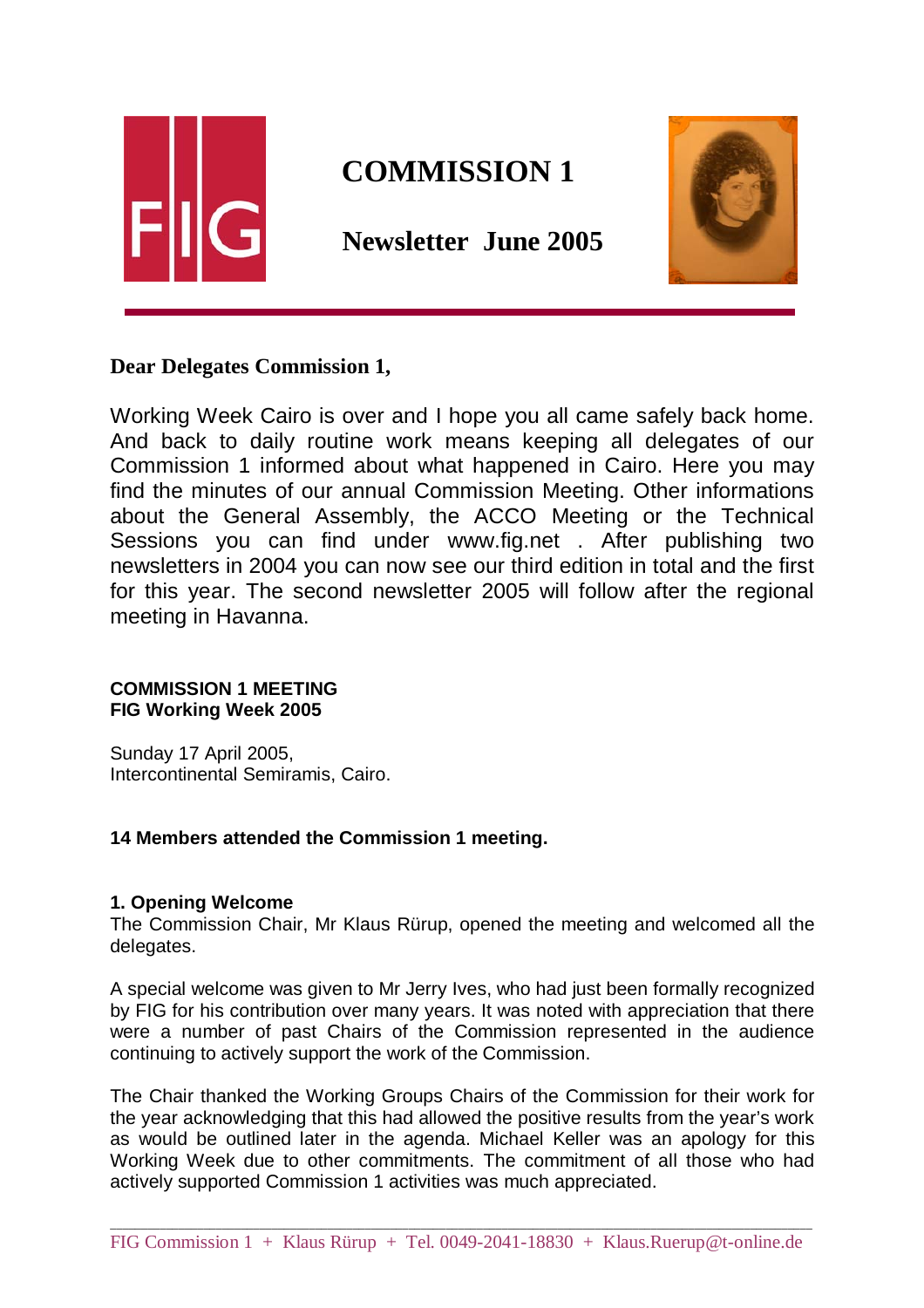

# **COMMISSION 1**

 **Newsletter June 2005** 



# **Dear Delegates Commission 1,**

Working Week Cairo is over and I hope you all came safely back home. And back to daily routine work means keeping all delegates of our Commission 1 informed about what happened in Cairo. Here you may find the minutes of our annual Commission Meeting. Other informations about the General Assembly, the ACCO Meeting or the Technical Sessions you can find under www.fig.net . After publishing two newsletters in 2004 you can now see our third edition in total and the first for this year. The second newsletter 2005 will follow after the regional meeting in Havanna.

#### **COMMISSION 1 MEETING FIG Working Week 2005**

Sunday 17 April 2005, Intercontinental Semiramis, Cairo.

### **14 Members attended the Commission 1 meeting.**

#### **1. Opening Welcome**

The Commission Chair, Mr Klaus Rürup, opened the meeting and welcomed all the delegates.

A special welcome was given to Mr Jerry Ives, who had just been formally recognized by FIG for his contribution over many years. It was noted with appreciation that there were a number of past Chairs of the Commission represented in the audience continuing to actively support the work of the Commission.

The Chair thanked the Working Groups Chairs of the Commission for their work for the year acknowledging that this had allowed the positive results from the year's work as would be outlined later in the agenda. Michael Keller was an apology for this Working Week due to other commitments. The commitment of all those who had actively supported Commission 1 activities was much appreciated.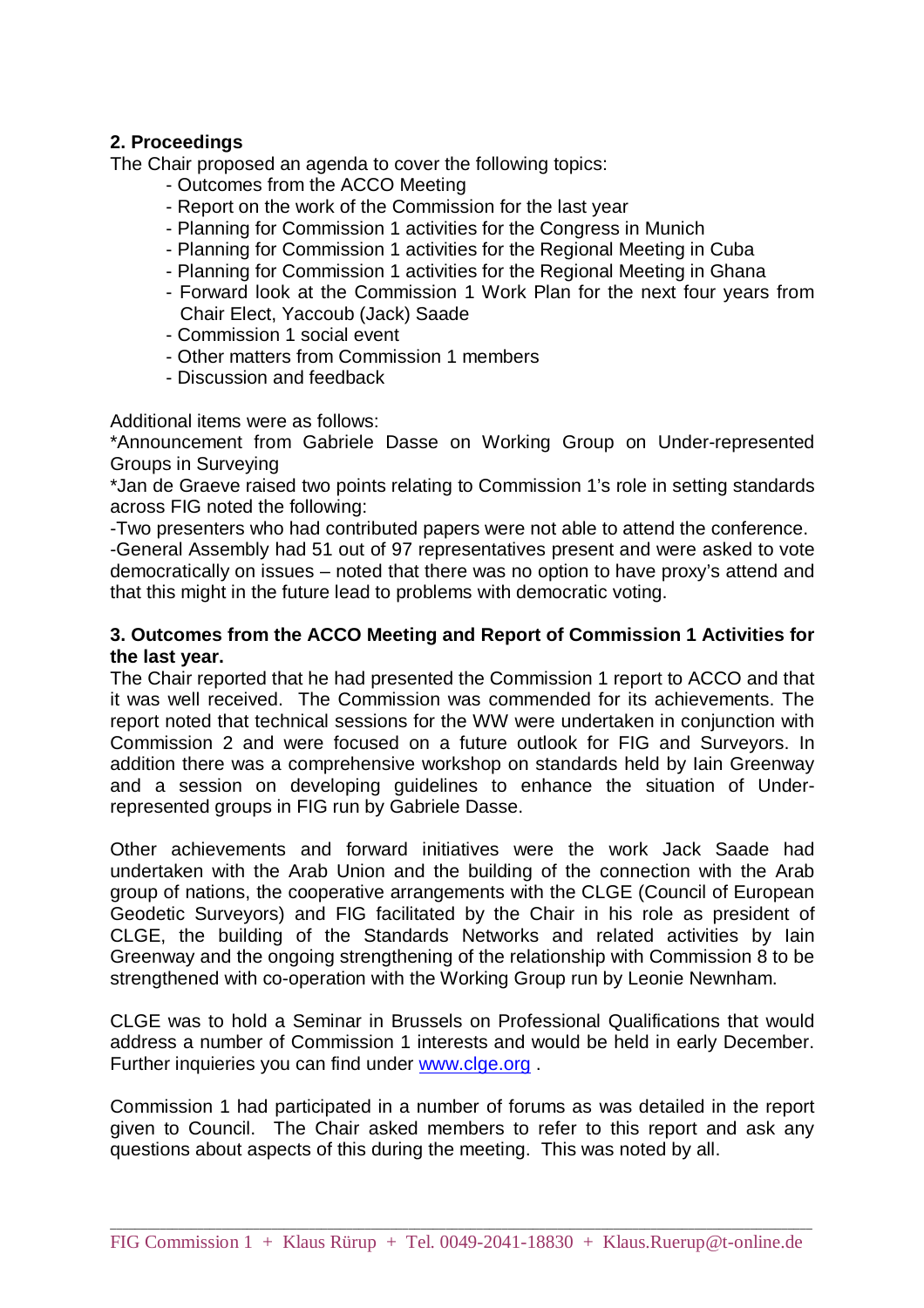#### **2. Proceedings**

The Chair proposed an agenda to cover the following topics:

- Outcomes from the ACCO Meeting
- Report on the work of the Commission for the last year
- Planning for Commission 1 activities for the Congress in Munich
- Planning for Commission 1 activities for the Regional Meeting in Cuba
- Planning for Commission 1 activities for the Regional Meeting in Ghana
- Forward look at the Commission 1 Work Plan for the next four years from Chair Elect, Yaccoub (Jack) Saade
- Commission 1 social event
- Other matters from Commission 1 members
- Discussion and feedback

Additional items were as follows:

\*Announcement from Gabriele Dasse on Working Group on Under-represented Groups in Surveying

\*Jan de Graeve raised two points relating to Commission 1's role in setting standards across FIG noted the following:

-Two presenters who had contributed papers were not able to attend the conference.

-General Assembly had 51 out of 97 representatives present and were asked to vote democratically on issues – noted that there was no option to have proxy's attend and that this might in the future lead to problems with democratic voting.

#### **3. Outcomes from the ACCO Meeting and Report of Commission 1 Activities for the last year.**

The Chair reported that he had presented the Commission 1 report to ACCO and that it was well received. The Commission was commended for its achievements. The report noted that technical sessions for the WW were undertaken in conjunction with Commission 2 and were focused on a future outlook for FIG and Surveyors. In addition there was a comprehensive workshop on standards held by Iain Greenway and a session on developing guidelines to enhance the situation of Underrepresented groups in FIG run by Gabriele Dasse.

Other achievements and forward initiatives were the work Jack Saade had undertaken with the Arab Union and the building of the connection with the Arab group of nations, the cooperative arrangements with the CLGE (Council of European Geodetic Surveyors) and FIG facilitated by the Chair in his role as president of CLGE, the building of the Standards Networks and related activities by Iain Greenway and the ongoing strengthening of the relationship with Commission 8 to be strengthened with co-operation with the Working Group run by Leonie Newnham.

CLGE was to hold a Seminar in Brussels on Professional Qualifications that would address a number of Commission 1 interests and would be held in early December. Further inquieries you can find under www.clge.org .

Commission 1 had participated in a number of forums as was detailed in the report given to Council. The Chair asked members to refer to this report and ask any questions about aspects of this during the meeting. This was noted by all.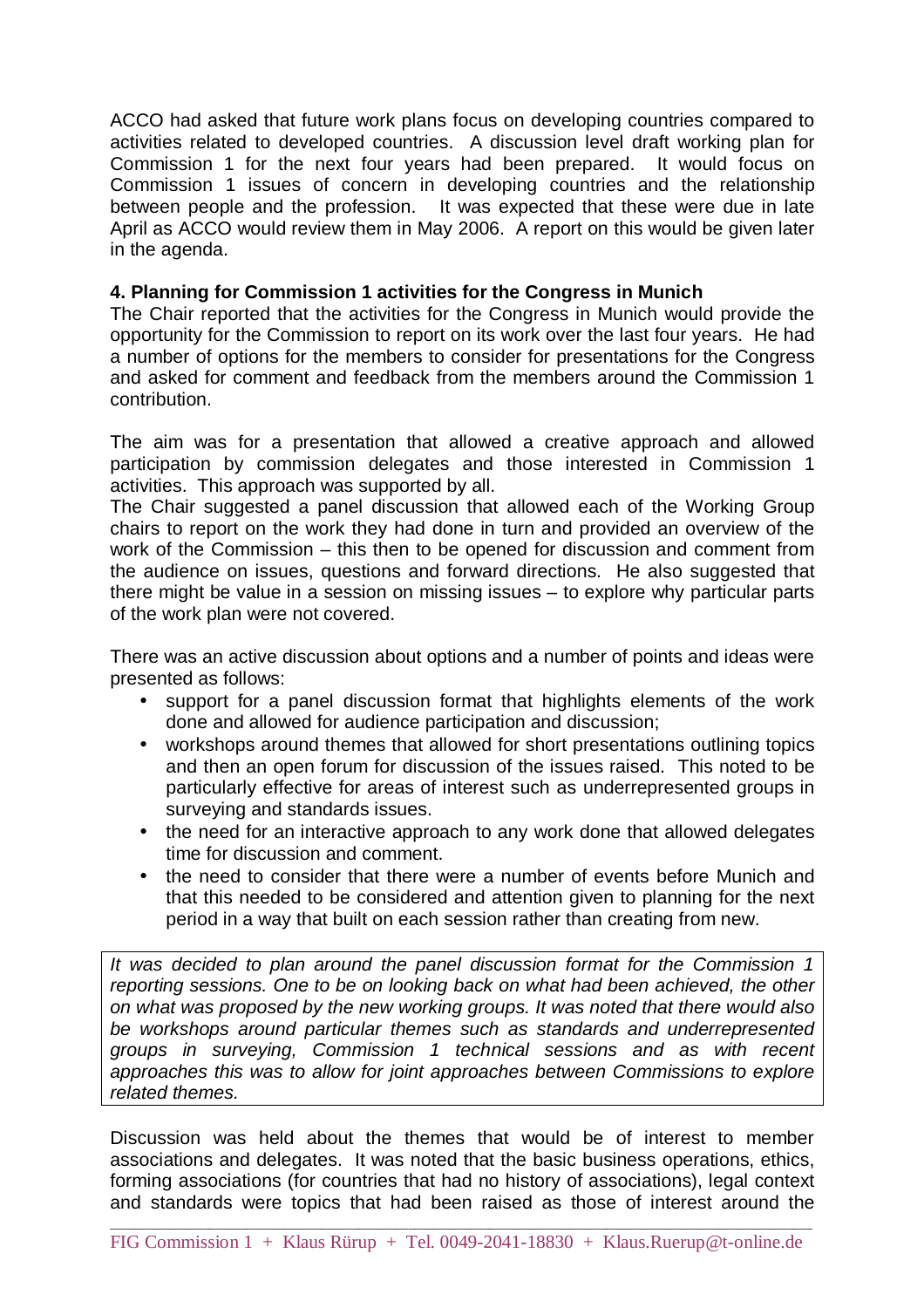ACCO had asked that future work plans focus on developing countries compared to activities related to developed countries. A discussion level draft working plan for Commission 1 for the next four years had been prepared. It would focus on Commission 1 issues of concern in developing countries and the relationship between people and the profession. It was expected that these were due in late April as ACCO would review them in May 2006. A report on this would be given later in the agenda.

#### **4. Planning for Commission 1 activities for the Congress in Munich**

The Chair reported that the activities for the Congress in Munich would provide the opportunity for the Commission to report on its work over the last four years. He had a number of options for the members to consider for presentations for the Congress and asked for comment and feedback from the members around the Commission 1 contribution.

The aim was for a presentation that allowed a creative approach and allowed participation by commission delegates and those interested in Commission 1 activities. This approach was supported by all.

The Chair suggested a panel discussion that allowed each of the Working Group chairs to report on the work they had done in turn and provided an overview of the work of the Commission – this then to be opened for discussion and comment from the audience on issues, questions and forward directions. He also suggested that there might be value in a session on missing issues – to explore why particular parts of the work plan were not covered.

There was an active discussion about options and a number of points and ideas were presented as follows:

- support for a panel discussion format that highlights elements of the work done and allowed for audience participation and discussion;
- workshops around themes that allowed for short presentations outlining topics and then an open forum for discussion of the issues raised. This noted to be particularly effective for areas of interest such as underrepresented groups in surveying and standards issues.
- the need for an interactive approach to any work done that allowed delegates time for discussion and comment.
- the need to consider that there were a number of events before Munich and that this needed to be considered and attention given to planning for the next period in a way that built on each session rather than creating from new.

It was decided to plan around the panel discussion format for the Commission 1 reporting sessions. One to be on looking back on what had been achieved, the other on what was proposed by the new working groups. It was noted that there would also be workshops around particular themes such as standards and underrepresented groups in surveying, Commission 1 technical sessions and as with recent approaches this was to allow for joint approaches between Commissions to explore related themes.

Discussion was held about the themes that would be of interest to member associations and delegates. It was noted that the basic business operations, ethics, forming associations (for countries that had no history of associations), legal context and standards were topics that had been raised as those of interest around the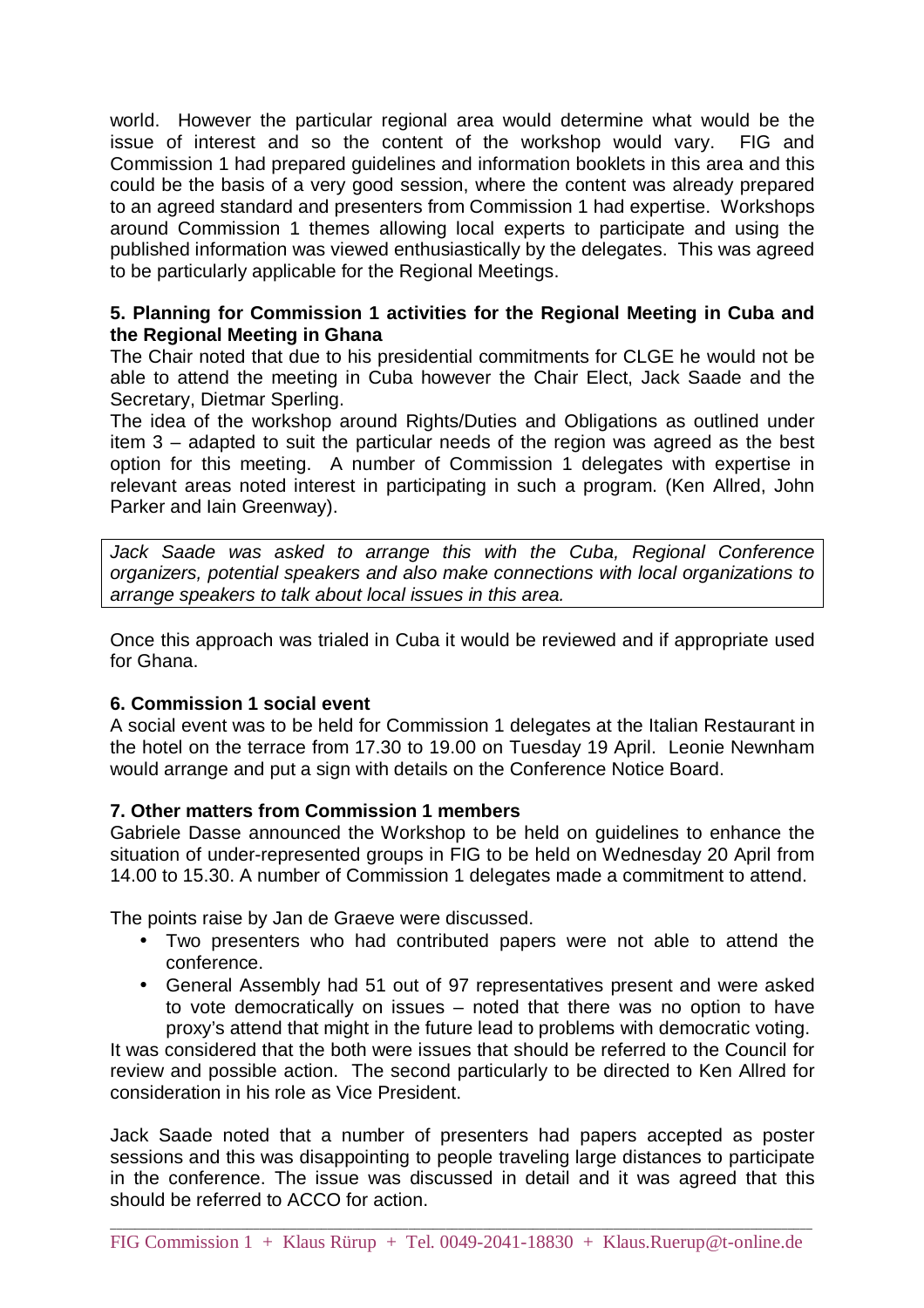world. However the particular regional area would determine what would be the issue of interest and so the content of the workshop would vary. FIG and Commission 1 had prepared guidelines and information booklets in this area and this could be the basis of a very good session, where the content was already prepared to an agreed standard and presenters from Commission 1 had expertise. Workshops around Commission 1 themes allowing local experts to participate and using the published information was viewed enthusiastically by the delegates. This was agreed to be particularly applicable for the Regional Meetings.

#### **5. Planning for Commission 1 activities for the Regional Meeting in Cuba and the Regional Meeting in Ghana**

The Chair noted that due to his presidential commitments for CLGE he would not be able to attend the meeting in Cuba however the Chair Elect, Jack Saade and the Secretary, Dietmar Sperling.

The idea of the workshop around Rights/Duties and Obligations as outlined under item 3 – adapted to suit the particular needs of the region was agreed as the best option for this meeting. A number of Commission 1 delegates with expertise in relevant areas noted interest in participating in such a program. (Ken Allred, John Parker and Iain Greenway).

Jack Saade was asked to arrange this with the Cuba, Regional Conference organizers, potential speakers and also make connections with local organizations to arrange speakers to talk about local issues in this area.

Once this approach was trialed in Cuba it would be reviewed and if appropriate used for Ghana.

#### **6. Commission 1 social event**

A social event was to be held for Commission 1 delegates at the Italian Restaurant in the hotel on the terrace from 17.30 to 19.00 on Tuesday 19 April. Leonie Newnham would arrange and put a sign with details on the Conference Notice Board.

#### **7. Other matters from Commission 1 members**

Gabriele Dasse announced the Workshop to be held on guidelines to enhance the situation of under-represented groups in FIG to be held on Wednesday 20 April from 14.00 to 15.30. A number of Commission 1 delegates made a commitment to attend.

The points raise by Jan de Graeve were discussed.

- Two presenters who had contributed papers were not able to attend the conference.
- General Assembly had 51 out of 97 representatives present and were asked to vote democratically on issues – noted that there was no option to have proxy's attend that might in the future lead to problems with democratic voting.

It was considered that the both were issues that should be referred to the Council for review and possible action. The second particularly to be directed to Ken Allred for consideration in his role as Vice President.

Jack Saade noted that a number of presenters had papers accepted as poster sessions and this was disappointing to people traveling large distances to participate in the conference. The issue was discussed in detail and it was agreed that this should be referred to ACCO for action.